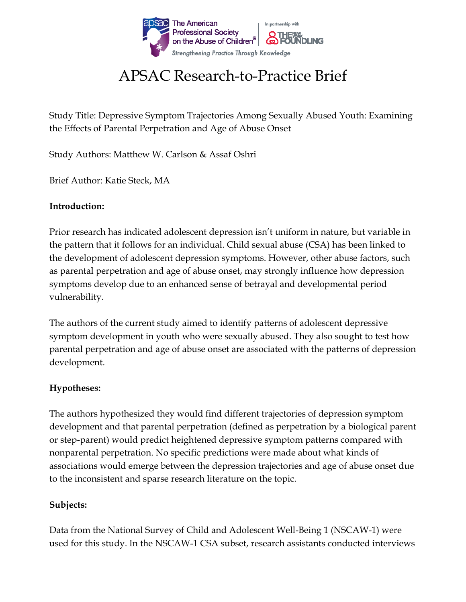

# APSAC Research-to-Practice Brief

Study Title: Depressive Symptom Trajectories Among Sexually Abused Youth: Examining the Effects of Parental Perpetration and Age of Abuse Onset

Study Authors: Matthew W. Carlson & Assaf Oshri

Brief Author: Katie Steck, MA

#### **Introduction:**

Prior research has indicated adolescent depression isn't uniform in nature, but variable in the pattern that it follows for an individual. Child sexual abuse (CSA) has been linked to the development of adolescent depression symptoms. However, other abuse factors, such as parental perpetration and age of abuse onset, may strongly influence how depression symptoms develop due to an enhanced sense of betrayal and developmental period vulnerability.

The authors of the current study aimed to identify patterns of adolescent depressive symptom development in youth who were sexually abused. They also sought to test how parental perpetration and age of abuse onset are associated with the patterns of depression development.

## **Hypotheses:**

The authors hypothesized they would find different trajectories of depression symptom development and that parental perpetration (defined as perpetration by a biological parent or step-parent) would predict heightened depressive symptom patterns compared with nonparental perpetration. No specific predictions were made about what kinds of associations would emerge between the depression trajectories and age of abuse onset due to the inconsistent and sparse research literature on the topic.

## **Subjects:**

Data from the National Survey of Child and Adolescent Well-Being 1 (NSCAW-1) were used for this study. In the NSCAW-1 CSA subset, research assistants conducted interviews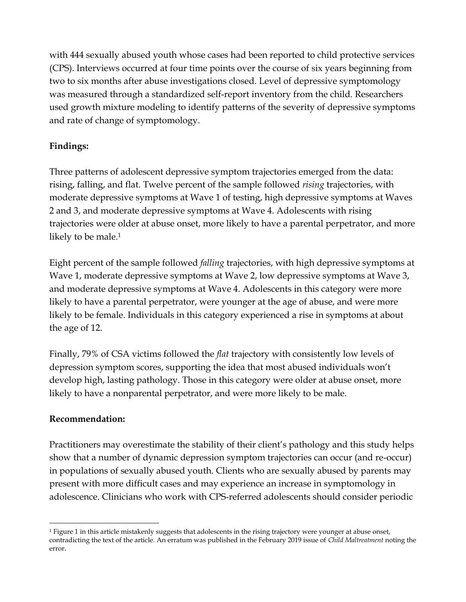with 444 sexually abused youth whose cases had been reported to child protective services (CPS). Interviews occurred at four time points over the course of six years beginning from two to six months after abuse investigations closed. Level of depressive symptomology was measured through a standardized self-report inventory from the child. Researchers used growth mixture modeling to identify patterns of the severity of depressive symptoms and rate of change of symptomology.

## **Findings:**

Three patterns of adolescent depressive symptom trajectories emerged from the data: rising, falling, and flat. Twelve percent of the sample followed *rising* trajectories, with moderate depressive symptoms at Wave 1 of testing, high depressive symptoms at Waves 2 and 3, and moderate depressive symptoms at Wave 4. Adolescents with rising trajectories were older at abuse onset, more likely to have a parental perpetrator, and more likely to be male. 1

Eight percent of the sample followed *falling* trajectories, with high depressive symptoms at Wave 1, moderate depressive symptoms at Wave 2, low depressive symptoms at Wave 3, and moderate depressive symptoms at Wave 4. Adolescents in this category were more likely to have a parental perpetrator, were younger at the age of abuse, and were more likely to be female. Individuals in this category experienced a rise in symptoms at about the age of 12.

Finally, 79% of CSA victims followed the *flat* trajectory with consistently low levels of depression symptom scores, supporting the idea that most abused individuals won't develop high, lasting pathology. Those in this category were older at abuse onset, more likely to have a nonparental perpetrator, and were more likely to be male.

## **Recommendation:**

Practitioners may overestimate the stability of their client's pathology and this study helps show that a number of dynamic depression symptom trajectories can occur (and re-occur) in populations of sexually abused youth. Clients who are sexually abused by parents may present with more difficult cases and may experience an increase in symptomology in adolescence. Clinicians who work with CPS-referred adolescents should consider periodic

 $\overline{a}$ <sup>1</sup> Figure 1 in this article mistakenly suggests that adolescents in the rising trajectory were younger at abuse onset, contradicting the text of the article. An erratum was published in the February 2019 issue of *Child Maltreatment* noting the error.